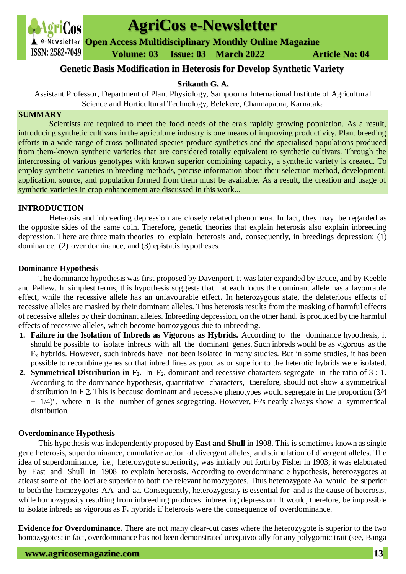

# **AgriCos e-Newsletter**

**Open Access Multidisciplinary Monthly Online Magazine**

 **ISSN: 2582-7049 Volume: 03 Issue: 03 March 2022 Article No: 04** 

## **Genetic Basis Modification in Heterosis for Develop Synthetic Variety**

## **Srikanth G. A.**

Assistant Professor, Department of Plant Physiology, Sampoorna International Institute of Agricultural Science and Horticultural Technology, Belekere, Channapatna, Karnataka

## **SUMMARY**

Scientists are required to meet the food needs of the era's rapidly growing population. As a result, introducing synthetic cultivars in the agriculture industry is one means of improving productivity. Plant breeding efforts in a wide range of cross-pollinated species produce synthetics and the specialised populations produced from them-known synthetic varieties that are considered totally equivalent to synthetic cultivars. Through the intercrossing of various genotypes with known superior combining capacity, a synthetic variety is created. To employ synthetic varieties in breeding methods, precise information about their selection method, development, application, source, and population formed from them must be available. As a result, the creation and usage of synthetic varieties in crop enhancement are discussed in this work...

## **INTRODUCTION**

Heterosis and inbreeding depression are closely related phenomena. In fact, they may be regarded as the opposite sides of the same coin. Therefore, genetic theories that explain heterosis also explain inbreeding depression. There are three main theories to explain heterosis and, consequently, in breedings depression: (1) dominance, (2) over dominance, and (3) epistatis hypotheses.

## **Dominance Hypothesis**

The dominance hypothesis was first proposed by Davenport. It was later expanded by Bruce, and by Keeble and Pellew. In simplest terms, this hypothesis suggests that at each locus the dominant allele has a favourable effect, while the recessive allele has an unfavourable effect. In heterozygous state, the deleterious effects of recessive alleles are masked by their dominant alleles. Thus heterosis results from the masking of harmful effects of recessive alleles by their dominant alleles. Inbreeding depression, on the other hand, is produced by the harmful effects of recessive alleles, which become homozygous due to inbreeding.

- **1. Failure in the Isolation of Inbreds as Vigorous as Hybrids.** According to the dominance hypothesis, it should be possible to isolate inbreds with all the dominant genes. Such inbreds would be as vigorous as the  $F_x$  hybrids. However, such inbreds have not been isolated in many studies. But in some studies, it has been possible to recombine genes so that inbred lines as good as or superior to the heterotic hybrids were isolated.
- **2. Symmetrical Distribution in**  $\mathbf{F}_2$ **.** In  $\mathbf{F}_2$ , dominant and recessive characters segregate in the ratio of 3 : 1. According to the dominance hypothesis, quantitative characters, therefore, should not show a symmetrical distribution in F 2. This is because dominant and recessive phenotypes would segregate in the proportion (3/4  $+$  1/4)", where n is the number of genes segregating. However,  $F_2$ 's nearly always show a symmetrical distribution.

## **Overdominance Hypothesis**

This hypothesis was independently proposed by **East and Shull** in 1908. This is sometimes known as single gene heterosis, superdominance, cumulative action of divergent alleles, and stimulation of divergent alleles. The idea of superdominance, i.e., heterozygote superiority, was initially put forth by Fisher in 1903; it was elaborated by East and Shull in 1908 to explain heterosis. According to overdominanc e hypothesis, heterozygotes at atleast some of the loci are superior to both the relevant homozygotes. Thus heterozygote Aa would be superior to both the homozygotes AA and aa. Consequently, heterozygosity is essential for and is the cause of heterosis, while homozygosity resulting from inbreeding produces inbreeding depression. It would, therefore, be impossible to isolate inbreds as vigorous as  $F_x$  hybrids if heterosis were the consequence of overdominance.

**Evidence for Overdominance.** There are not many clear-cut cases where the heterozygote is superior to the two homozygotes; in fact, overdominance has not been demonstrated unequivocally for any polygomic trait (see, Banga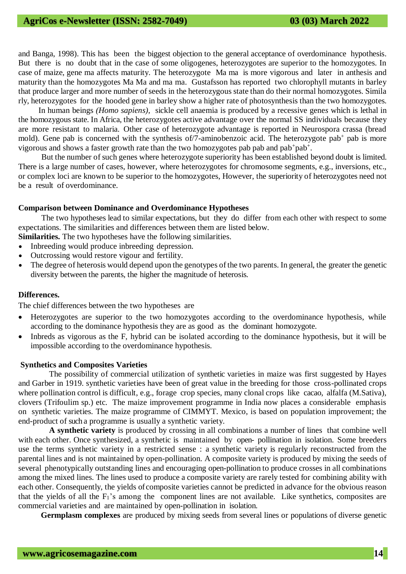# **AgriCos e-Newsletter (ISSN: 2582-7049) 03 (03) March 2022**

and Banga, 1998). This has been the biggest objection to the general acceptance of overdominance hypothesis. But there is no doubt that in the case of some oligogenes, heterozygotes are superior to the homozygotes. In case of maize, gene ma affects maturity. The heterozygote Ma ma is more vigorous and later in anthesis and maturity than the homozygotes Ma Ma and ma ma. Gustafsson has reported two chlorophyll mutants in barley that produce larger and more number of seeds in the heterozygous state than do their normal homozygotes. Simila rly, heterozygotes for the hooded gene in barley show a higher rate of photosynthesis than the two homozygotes.

In human beings *(Homo sapiens),* sickle cell anaemia is produced by a recessive gene*s* which is lethal in the homozygous state. In Africa, the heterozygotes active advantage over the normal SS individuals because they are more resistant to malaria. Other case of heterozygote advantage is reported in Neurospora crassa (bread mold). Gene pab is concerned with the synthesis of/7-aminobenzoic acid. The heterozygote pab<sup>+</sup> pab is more vigorous and shows a faster growth rate than the two homozygotes pab pab and pab+pab+.

But the number of such genes where heterozygote superiority has been established beyond doubt is limited. There is a large number of cases, however, where heterozygotes for chromosome segments, e.g., inversions, etc., or complex loci are known to be superior to the homozygotes, However, the superiority of heterozygotes need not be a result of overdominance.

#### **Comparison between Dominance and Overdominance Hypotheses**

The two hypotheses lead to similar expectations, but they do differ from each other with respect to some expectations. The similarities and differences between them are listed below.

- **Similarities.** The two hypotheses have the following similarities.
- Inbreeding would produce inbreeding depression.
- Outcrossing would restore vigour and fertility.
- The degree of heterosis would depend upon the genotypes of the two parents. In general, the greater the genetic diversity between the parents, the higher the magnitude of heterosis.

#### **Differences.**

The chief differences between the two hypotheses are

- Heterozygotes are superior to the two homozygotes according to the overdominance hypothesis, while according to the dominance hypothesis they are as good as the dominant homozygote.
- Inbreds as vigorous as the F, hybrid can be isolated according to the dominance hypothesis, but it will be impossible according to the overdominance hypothesis.

#### **Synthetics and Composites Varieties**

 The possibility of commercial utilization of synthetic varieties in maize was first suggested by Hayes and Garber in 1919. synthetic varieties have been of great value in the breeding for those cross-pollinated crops where pollination control is difficult, e.g., forage crop species, many clonal crops like cacao, alfalfa (M.Sativa), clovers (Trifoulim sp.) etc. The maize improvement programme in India now places a considerable emphasis on synthetic varieties. The maize programme of CIMMYT. Mexico, is based on population improvement; the end-product of such a programme is usually a synthetic variety.

 **A synthetic variety** is produced by crossing in all combinations a number of lines that combine well with each other. Once synthesized, a synthetic is maintained by open- pollination in isolation. Some breeders use the terms synthetic variety in a restricted sense : a synthetic variety is regularly reconstructed from the parental lines and is not maintained by open-pollination. A composite variety is produced by mixing the seeds of several phenotypically outstanding lines and encouraging open-pollination to produce crosses in all combinations among the mixed lines. The lines used to produce a composite variety are rarely tested for combining ability with each other. Consequently, the yields of composite varieties cannot be predicted in advance for the obvious reason that the yields of all the  $F_1$ 's among the component lines are not available. Like synthetics, composites are commercial varieties and are maintained by open-pollination in isolation.

 **Germplasm complexes** are produced by mixing seeds from several lines or populations of diverse genetic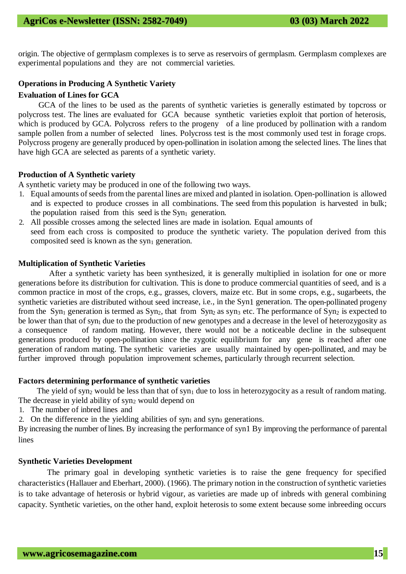origin. The objective of germplasm complexes is to serve as reservoirs of germplasm. Germplasm complexes are experimental populations and they are not commercial varieties.

## **Operations in Producing A Synthetic Variety**

## **Evaluation of Lines for GCA**

GCA of the lines to be used as the parents of synthetic varieties is generally estimated by topcross or polycross test. The lines are evaluated for GCA because synthetic varieties exploit that portion of heterosis, which is produced by GCA. Polycross refers to the progeny of a line produced by pollination with a random sample pollen from a number of selected lines. Polycross test is the most commonly used test in forage crops. Polycross progeny are generally produced by open-pollination in isolation among the selected lines. The lines that have high GCA are selected as parents of a synthetic variety.

## **Production of A Synthetic variety**

A synthetic variety may be produced in one of the following two ways.

- 1. Equal amounts of seeds from the parental lines are mixed and planted in isolation. Open-pollination is allowed and is expected to produce crosses in all combinations. The seed from this population is harvested in bulk; the population raised from this seed is the  $Syn<sub>1</sub>$  generation.
- 2. All possible crosses among the selected lines are made in isolation. Equal amounts of seed from each cross is composited to produce the synthetic variety. The population derived from this composited seed is known as the  $syn<sub>1</sub>$  generation.

## **Multiplication of Synthetic Varieties**

 After a synthetic variety has been synthesized, it is generally multiplied in isolation for one or more generations before its distribution for cultivation. This is done to produce commercial quantities of seed, and is a common practice in most of the crops, e.g., grasses, clovers, maize etc. But in some crops, e.g., sugarbeets, the synthetic varieties are distributed without seed increase, i.e., in the Syn1 generation. The open-pollinated progeny from the Syn<sub>1</sub> generation is termed as  $Syn_2$ , that from Syn<sub>2</sub> as syn<sub>3</sub> etc. The performance of Syn<sub>2</sub> is expected to be lower than that of syn<sub>1</sub> due to the production of new genotypes and a decrease in the level of heterozygosity as a consequence of random mating. However, there would not be a noticeable decline in the subsequent generations produced by open-pollination since the zygotic equilibrium for any gene is reached after one generation of random mating. The synthetic varieties are usually maintained by open-pollinated, and may be further improved through population improvement schemes, particularly through recurrent selection.

## **Factors determining performance of synthetic varieties**

The yield of syn<sub>2</sub> would be less than that of syn<sub>1</sub> due to loss in heterozygocity as a result of random mating. The decrease in yield ability of  $syn_2$  would depend on

- 1. The number of inbred lines and
- 2. On the difference in the yielding abilities of syn<sub>1</sub> and syn<sub>0</sub> generations.

By increasing the number of lines. By increasing the performance of syn1 By improving the performance of parental lines

## **Synthetic Varieties Development**

 The primary goal in developing synthetic varieties is to raise the gene frequency for specified characteristics (Hallauer and Eberhart, 2000). (1966). The primary notion in the construction of synthetic varieties is to take advantage of heterosis or hybrid vigour, as varieties are made up of inbreds with general combining capacity. Synthetic varieties, on the other hand, exploit heterosis to some extent because some inbreeding occurs